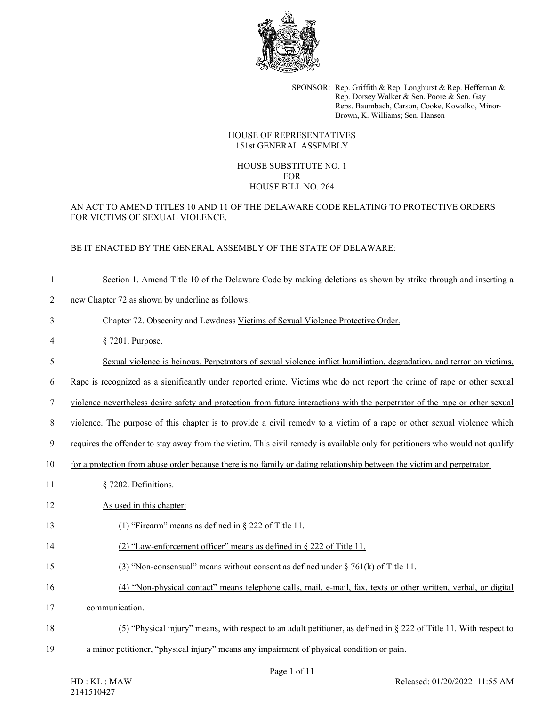

SPONSOR: Rep. Griffith & Rep. Longhurst & Rep. Heffernan & Rep. Dorsey Walker & Sen. Poore & Sen. Gay Reps. Baumbach, Carson, Cooke, Kowalko, Minor-Brown, K. Williams; Sen. Hansen

#### HOUSE OF REPRESENTATIVES 151st GENERAL ASSEMBLY

# HOUSE SUBSTITUTE NO. 1 FOR HOUSE BILL NO. 264

### AN ACT TO AMEND TITLES 10 AND 11 OF THE DELAWARE CODE RELATING TO PROTECTIVE ORDERS FOR VICTIMS OF SEXUAL VIOLENCE.

## BE IT ENACTED BY THE GENERAL ASSEMBLY OF THE STATE OF DELAWARE:

- 1 Section 1. Amend Title 10 of the Delaware Code by making deletions as shown by strike through and inserting a
- 2 new Chapter 72 as shown by underline as follows:

### 3 Chapter 72. Obscenity and Lewdness Victims of Sexual Violence Protective Order.

- 4 § 7201. Purpose.
- 5 Sexual violence is heinous. Perpetrators of sexual violence inflict humiliation, degradation, and terror on victims.
- 6 Rape is recognized as a significantly under reported crime. Victims who do not report the crime of rape or other sexual

7 violence nevertheless desire safety and protection from future interactions with the perpetrator of the rape or other sexual

8 violence. The purpose of this chapter is to provide a civil remedy to a victim of a rape or other sexual violence which

9 requires the offender to stay away from the victim. This civil remedy is available only for petitioners who would not qualify

- 10 for a protection from abuse order because there is no family or dating relationship between the victim and perpetrator.
- 11 § 7202. Definitions.
- 12 As used in this chapter:
- 13 (1) "Firearm" means as defined in § 222 of Title 11.
- 14 (2) "Law-enforcement officer" means as defined in § 222 of Title 11.
- 15 (3) "Non-consensual" means without consent as defined under § 761(k) of Title 11.
- 16 (4) "Non-physical contact" means telephone calls, mail, e-mail, fax, texts or other written, verbal, or digital
- 17 communication.
- 18 (5) "Physical injury" means, with respect to an adult petitioner, as defined in § 222 of Title 11. With respect to
- 19 a minor petitioner, "physical injury" means any impairment of physical condition or pain.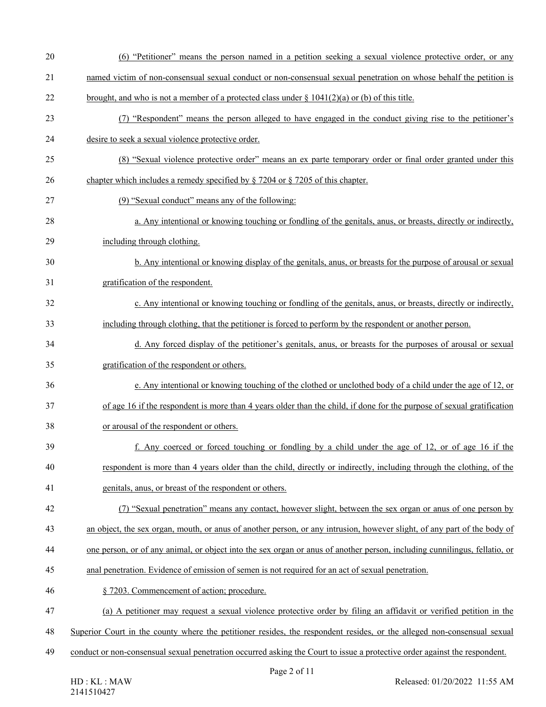| 20 | (6) "Petitioner" means the person named in a petition seeking a sexual violence protective order, or any                   |
|----|----------------------------------------------------------------------------------------------------------------------------|
| 21 | named victim of non-consensual sexual conduct or non-consensual sexual penetration on whose behalf the petition is         |
| 22 | brought, and who is not a member of a protected class under $\S 1041(2)(a)$ or (b) of this title.                          |
| 23 | (7) "Respondent" means the person alleged to have engaged in the conduct giving rise to the petitioner's                   |
| 24 | desire to seek a sexual violence protective order.                                                                         |
| 25 | (8) "Sexual violence protective order" means an ex parte temporary order or final order granted under this                 |
| 26 | chapter which includes a remedy specified by $\S$ 7204 or $\S$ 7205 of this chapter.                                       |
| 27 | (9) "Sexual conduct" means any of the following:                                                                           |
| 28 | a. Any intentional or knowing touching or fondling of the genitals, anus, or breasts, directly or indirectly,              |
| 29 | including through clothing.                                                                                                |
| 30 | b. Any intentional or knowing display of the genitals, anus, or breasts for the purpose of arousal or sexual               |
| 31 | gratification of the respondent.                                                                                           |
| 32 | c. Any intentional or knowing touching or fondling of the genitals, anus, or breasts, directly or indirectly,              |
| 33 | including through clothing, that the petitioner is forced to perform by the respondent or another person.                  |
| 34 | d. Any forced display of the petitioner's genitals, anus, or breasts for the purposes of arousal or sexual                 |
| 35 | gratification of the respondent or others.                                                                                 |
| 36 | e. Any intentional or knowing touching of the clothed or unclothed body of a child under the age of 12, or                 |
| 37 | of age 16 if the respondent is more than 4 years older than the child, if done for the purpose of sexual gratification     |
| 38 | or arousal of the respondent or others.                                                                                    |
| 39 | f. Any coerced or forced touching or fondling by a child under the age of 12, or of age 16 if the                          |
| 40 | respondent is more than 4 years older than the child, directly or indirectly, including through the clothing, of the       |
| 41 | genitals, anus, or breast of the respondent or others.                                                                     |
| 42 | (7) "Sexual penetration" means any contact, however slight, between the sex organ or anus of one person by                 |
| 43 | an object, the sex organ, mouth, or anus of another person, or any intrusion, however slight, of any part of the body of   |
| 44 | one person, or of any animal, or object into the sex organ or anus of another person, including cunnilingus, fellatio, or  |
| 45 | anal penetration. Evidence of emission of semen is not required for an act of sexual penetration.                          |
| 46 | § 7203. Commencement of action; procedure.                                                                                 |
| 47 | (a) A petitioner may request a sexual violence protective order by filing an affidavit or verified petition in the         |
| 48 | Superior Court in the county where the petitioner resides, the respondent resides, or the alleged non-consensual sexual    |
| 49 | conduct or non-consensual sexual penetration occurred asking the Court to issue a protective order against the respondent. |
|    | Page 2 of 11                                                                                                               |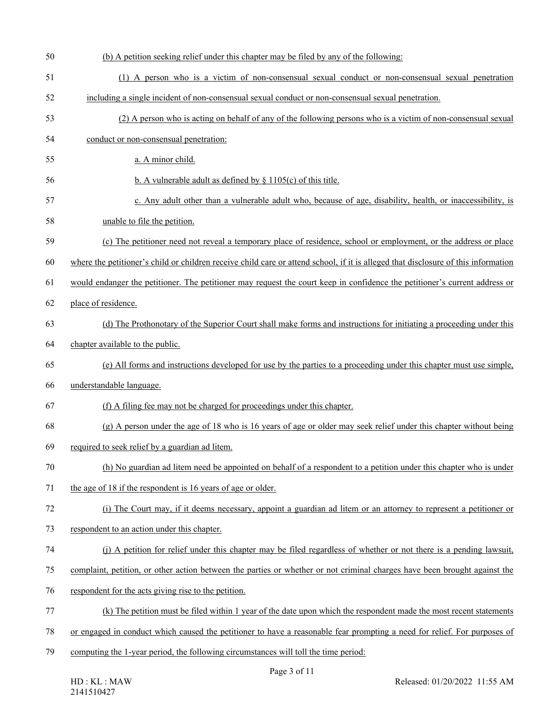| 50 | (b) A petition seeking relief under this chapter may be filed by any of the following:                                             |
|----|------------------------------------------------------------------------------------------------------------------------------------|
| 51 | (1) A person who is a victim of non-consensual sexual conduct or non-consensual sexual penetration                                 |
| 52 | including a single incident of non-consensual sexual conduct or non-consensual sexual penetration.                                 |
| 53 | (2) A person who is acting on behalf of any of the following persons who is a victim of non-consensual sexual                      |
| 54 | conduct or non-consensual penetration:                                                                                             |
| 55 | a. A minor child.                                                                                                                  |
| 56 | b. A vulnerable adult as defined by $\S$ 1105(c) of this title.                                                                    |
| 57 | c. Any adult other than a vulnerable adult who, because of age, disability, health, or inaccessibility, is                         |
| 58 | unable to file the petition.                                                                                                       |
| 59 | (c) The petitioner need not reveal a temporary place of residence, school or employment, or the address or place                   |
| 60 | where the petitioner's child or children receive child care or attend school, if it is alleged that disclosure of this information |
| 61 | would endanger the petitioner. The petitioner may request the court keep in confidence the petitioner's current address or         |
| 62 | place of residence.                                                                                                                |
| 63 | (d) The Prothonotary of the Superior Court shall make forms and instructions for initiating a proceeding under this                |
| 64 | chapter available to the public.                                                                                                   |
| 65 | (e) All forms and instructions developed for use by the parties to a proceeding under this chapter must use simple,                |
| 66 | understandable language.                                                                                                           |
| 67 | (f) A filing fee may not be charged for proceedings under this chapter.                                                            |
| 68 | $(g)$ A person under the age of 18 who is 16 years of age or older may seek relief under this chapter without being                |
| 69 | required to seek relief by a guardian ad litem.                                                                                    |
| 70 | (h) No guardian ad litem need be appointed on behalf of a respondent to a petition under this chapter who is under                 |
| 71 | the age of 18 if the respondent is 16 years of age or older.                                                                       |
| 72 | (i) The Court may, if it deems necessary, appoint a guardian ad litem or an attorney to represent a petitioner or                  |
| 73 | respondent to an action under this chapter.                                                                                        |
| 74 | (j) A petition for relief under this chapter may be filed regardless of whether or not there is a pending lawsuit,                 |
| 75 | complaint, petition, or other action between the parties or whether or not criminal charges have been brought against the          |
| 76 | respondent for the acts giving rise to the petition.                                                                               |
| 77 | (k) The petition must be filed within 1 year of the date upon which the respondent made the most recent statements                 |
| 78 | or engaged in conduct which caused the petitioner to have a reasonable fear prompting a need for relief. For purposes of           |
| 79 | computing the 1-year period, the following circumstances will toll the time period:                                                |
|    |                                                                                                                                    |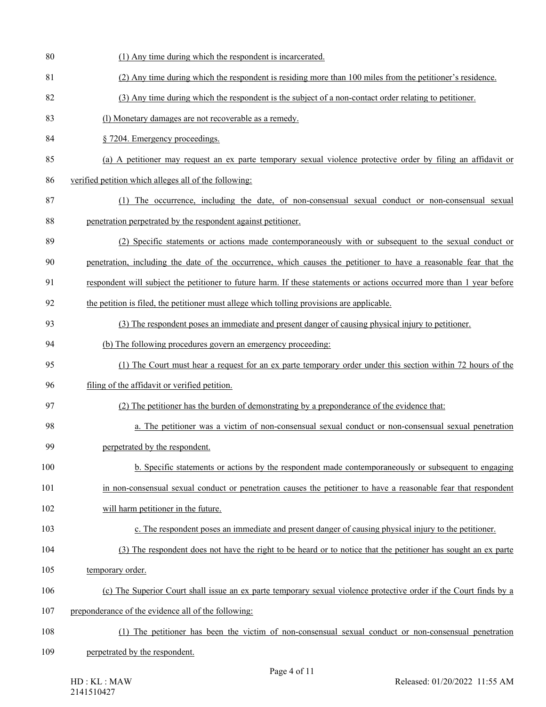- 80 (1) Any time during which the respondent is incarcerated.
- 81 (2) Any time during which the respondent is residing more than 100 miles from the petitioner's residence.
- 82 (3) Any time during which the respondent is the subject of a non-contact order relating to petitioner.
- 83 (l) Monetary damages are not recoverable as a remedy.
- 84 § 7204. Emergency proceedings.
- 85 (a) A petitioner may request an ex parte temporary sexual violence protective order by filing an affidavit or
- 86 verified petition which alleges all of the following:
- 87 (1) The occurrence, including the date, of non-consensual sexual conduct or non-consensual sexual 88 penetration perpetrated by the respondent against petitioner.
- 89 (2) Specific statements or actions made contemporaneously with or subsequent to the sexual conduct or
- 90 penetration, including the date of the occurrence, which causes the petitioner to have a reasonable fear that the
- 91 respondent will subject the petitioner to future harm. If these statements or actions occurred more than 1 year before
- 92 the petition is filed, the petitioner must allege which tolling provisions are applicable.
- 93 (3) The respondent poses an immediate and present danger of causing physical injury to petitioner.
- 94 (b) The following procedures govern an emergency proceeding:
- 95 (1) The Court must hear a request for an ex parte temporary order under this section within 72 hours of the
- 96 filing of the affidavit or verified petition.
- 97 (2) The petitioner has the burden of demonstrating by a preponderance of the evidence that:
- 98 a. The petitioner was a victim of non-consensual sexual conduct or non-consensual sexual penetration 99 perpetrated by the respondent.
- 100 b. Specific statements or actions by the respondent made contemporaneously or subsequent to engaging
- 101 in non-consensual sexual conduct or penetration causes the petitioner to have a reasonable fear that respondent
- 102 will harm petitioner in the future.
- 103 c. The respondent poses an immediate and present danger of causing physical injury to the petitioner.
- 104 (3) The respondent does not have the right to be heard or to notice that the petitioner has sought an ex parte
- 105 temporary order.
- 106 (c) The Superior Court shall issue an ex parte temporary sexual violence protective order if the Court finds by a
- 107 preponderance of the evidence all of the following:
- 108 (1) The petitioner has been the victim of non-consensual sexual conduct or non-consensual penetration
- 109 perpetrated by the respondent.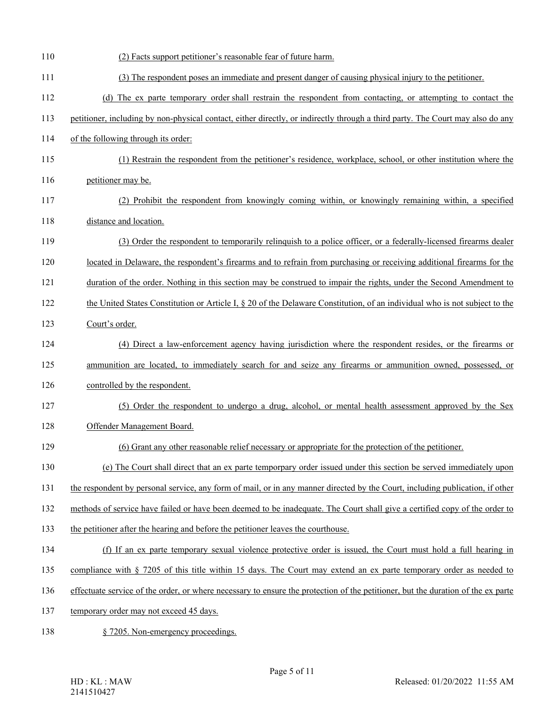| 110 | (2) Facts support petitioner's reasonable fear of future harm.                                                                   |
|-----|----------------------------------------------------------------------------------------------------------------------------------|
| 111 | (3) The respondent poses an immediate and present danger of causing physical injury to the petitioner.                           |
| 112 | (d) The ex parte temporary order shall restrain the respondent from contacting, or attempting to contact the                     |
| 113 | petitioner, including by non-physical contact, either directly, or indirectly through a third party. The Court may also do any   |
| 114 | of the following through its order:                                                                                              |
| 115 | (1) Restrain the respondent from the petitioner's residence, workplace, school, or other institution where the                   |
| 116 | petitioner may be.                                                                                                               |
| 117 | (2) Prohibit the respondent from knowingly coming within, or knowingly remaining within, a specified                             |
| 118 | distance and location.                                                                                                           |
| 119 | (3) Order the respondent to temporarily relinguish to a police officer, or a federally-licensed firearms dealer                  |
| 120 | located in Delaware, the respondent's firearms and to refrain from purchasing or receiving additional firearms for the           |
| 121 | duration of the order. Nothing in this section may be construed to impair the rights, under the Second Amendment to              |
| 122 | the United States Constitution or Article I, § 20 of the Delaware Constitution, of an individual who is not subject to the       |
| 123 | Court's order.                                                                                                                   |
| 124 | (4) Direct a law-enforcement agency having jurisdiction where the respondent resides, or the firearms or                         |
| 125 | ammunition are located, to immediately search for and seize any firearms or ammunition owned, possessed, or                      |
| 126 | controlled by the respondent.                                                                                                    |
| 127 | (5) Order the respondent to undergo a drug, alcohol, or mental health assessment approved by the Sex                             |
| 128 | Offender Management Board.                                                                                                       |
| 129 | (6) Grant any other reasonable relief necessary or appropriate for the protection of the petitioner.                             |
| 130 | (e) The Court shall direct that an ex parte temporpary order issued under this section be served immediately upon                |
| 131 | the respondent by personal service, any form of mail, or in any manner directed by the Court, including publication, if other    |
| 132 | methods of service have failed or have been deemed to be inadequate. The Court shall give a certified copy of the order to       |
| 133 | the petitioner after the hearing and before the petitioner leaves the courthouse.                                                |
| 134 | (f) If an ex parte temporary sexual violence protective order is issued, the Court must hold a full hearing in                   |
| 135 | compliance with $\S$ 7205 of this title within 15 days. The Court may extend an ex parte temporary order as needed to            |
| 136 | effectuate service of the order, or where necessary to ensure the protection of the petitioner, but the duration of the ex parte |
| 137 | temporary order may not exceed 45 days.                                                                                          |
| 138 | § 7205. Non-emergency proceedings.                                                                                               |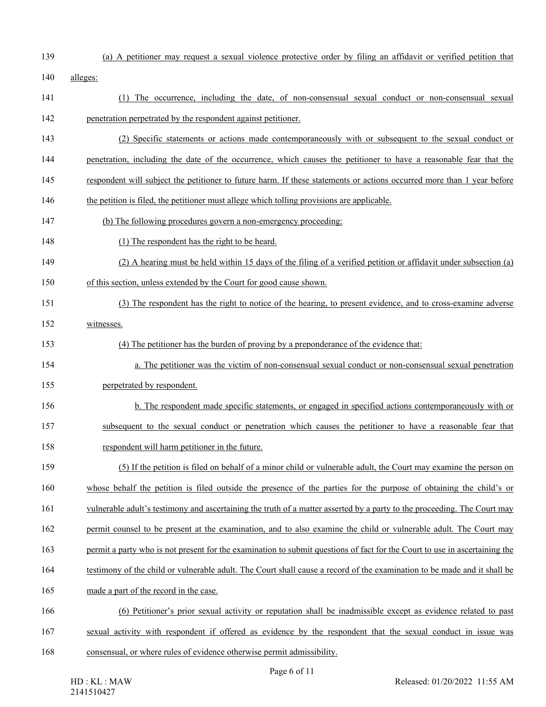- 
- 139 (a) A petitioner may request a sexual violence protective order by filing an affidavit or verified petition that
- 140 alleges:
- 141 (1) The occurrence, including the date, of non-consensual sexual conduct or non-consensual sexual 142 penetration perpetrated by the respondent against petitioner.
- 143 (2) Specific statements or actions made contemporaneously with or subsequent to the sexual conduct or
- 144 penetration, including the date of the occurrence, which causes the petitioner to have a reasonable fear that the
- 145 respondent will subject the petitioner to future harm. If these statements or actions occurred more than 1 year before
- 146 the petition is filed, the petitioner must allege which tolling provisions are applicable.
- 147 (b) The following procedures govern a non-emergency proceeding:
- 148 (1) The respondent has the right to be heard.
- 149 (2) A hearing must be held within 15 days of the filing of a verified petition or affidavit under subsection (a)
- 150 of this section, unless extended by the Court for good cause shown.
- 151 (3) The respondent has the right to notice of the hearing, to present evidence, and to cross-examine adverse
- 152 witnesses.
- 153 (4) The petitioner has the burden of proving by a preponderance of the evidence that:
- 154 a. The petitioner was the victim of non-consensual sexual conduct or non-consensual sexual penetration
- 155 perpetrated by respondent.
- 156 b. The respondent made specific statements, or engaged in specified actions contemporaneously with or 157 subsequent to the sexual conduct or penetration which causes the petitioner to have a reasonable fear that
- 158 respondent will harm petitioner in the future.
- 159 (5) If the petition is filed on behalf of a minor child or vulnerable adult, the Court may examine the person on 160 whose behalf the petition is filed outside the presence of the parties for the purpose of obtaining the child's or
- 161 vulnerable adult's testimony and ascertaining the truth of a matter asserted by a party to the proceeding. The Court may
- 162 permit counsel to be present at the examination, and to also examine the child or vulnerable adult. The Court may
- 163 permit a party who is not present for the examination to submit questions of fact for the Court to use in ascertaining the
- 164 testimony of the child or vulnerable adult. The Court shall cause a record of the examination to be made and it shall be
- 165 made a part of the record in the case.
- 166 (6) Petitioner's prior sexual activity or reputation shall be inadmissible except as evidence related to past
- 167 sexual activity with respondent if offered as evidence by the respondent that the sexual conduct in issue was
- 168 consensual, or where rules of evidence otherwise permit admissibility.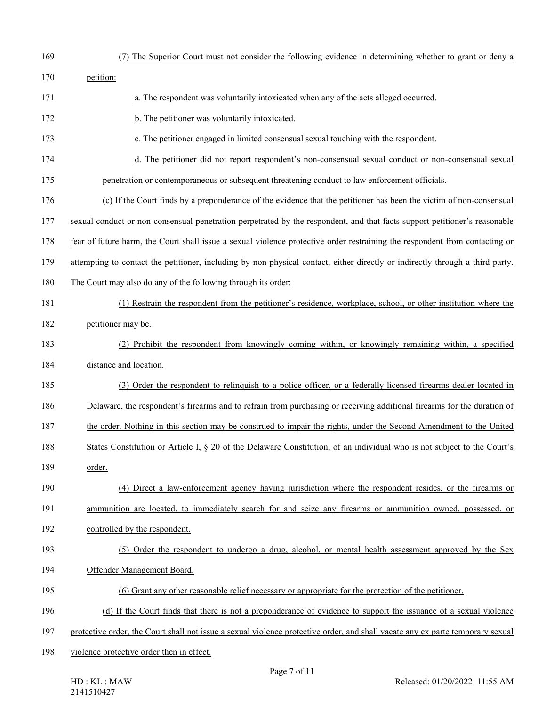| 169 | (7) The Superior Court must not consider the following evidence in determining whether to grant or deny a                      |
|-----|--------------------------------------------------------------------------------------------------------------------------------|
| 170 | petition:                                                                                                                      |
| 171 | a. The respondent was voluntarily intoxicated when any of the acts alleged occurred.                                           |
| 172 | b. The petitioner was voluntarily intoxicated.                                                                                 |
| 173 | c. The petitioner engaged in limited consensual sexual touching with the respondent.                                           |
| 174 | d. The petitioner did not report respondent's non-consensual sexual conduct or non-consensual sexual                           |
| 175 | penetration or contemporaneous or subsequent threatening conduct to law enforcement officials.                                 |
| 176 | (c) If the Court finds by a preponderance of the evidence that the petitioner has been the victim of non-consensual            |
| 177 | sexual conduct or non-consensual penetration perpetrated by the respondent, and that facts support petitioner's reasonable     |
| 178 | fear of future harm, the Court shall issue a sexual violence protective order restraining the respondent from contacting or    |
| 179 | attempting to contact the petitioner, including by non-physical contact, either directly or indirectly through a third party.  |
| 180 | The Court may also do any of the following through its order:                                                                  |
| 181 | (1) Restrain the respondent from the petitioner's residence, workplace, school, or other institution where the                 |
| 182 | petitioner may be.                                                                                                             |
| 183 | (2) Prohibit the respondent from knowingly coming within, or knowingly remaining within, a specified                           |
| 184 | distance and location.                                                                                                         |
| 185 | (3) Order the respondent to relinquish to a police officer, or a federally-licensed firearms dealer located in                 |
| 186 | Delaware, the respondent's firearms and to refrain from purchasing or receiving additional firearms for the duration of        |
| 187 | the order. Nothing in this section may be construed to impair the rights, under the Second Amendment to the United             |
| 188 | States Constitution or Article I, § 20 of the Delaware Constitution, of an individual who is not subject to the Court's        |
| 189 | order.                                                                                                                         |
| 190 | (4) Direct a law-enforcement agency having jurisdiction where the respondent resides, or the firearms or                       |
| 191 | ammunition are located, to immediately search for and seize any firearms or ammunition owned, possessed, or                    |
| 192 | controlled by the respondent.                                                                                                  |
| 193 | (5) Order the respondent to undergo a drug, alcohol, or mental health assessment approved by the Sex                           |
| 194 | Offender Management Board.                                                                                                     |
| 195 | (6) Grant any other reasonable relief necessary or appropriate for the protection of the petitioner.                           |
| 196 | (d) If the Court finds that there is not a preponderance of evidence to support the issuance of a sexual violence              |
| 197 | protective order, the Court shall not issue a sexual violence protective order, and shall vacate any ex parte temporary sexual |
| 198 | violence protective order then in effect.                                                                                      |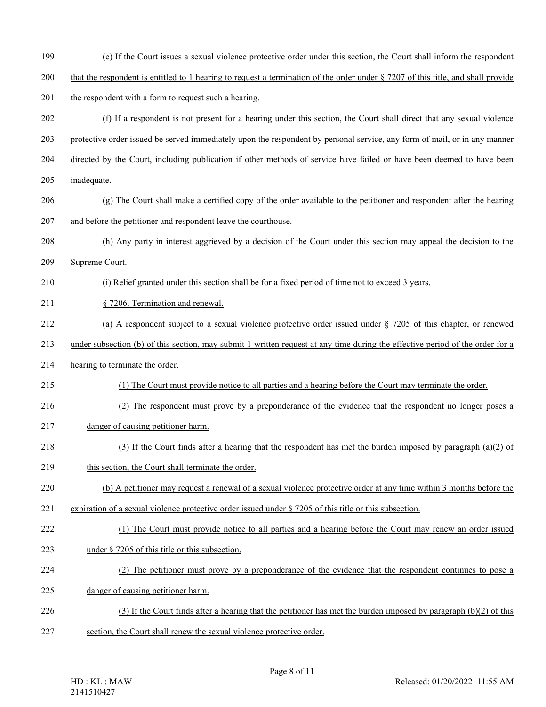- 199 (e) If the Court issues a sexual violence protective order under this section, the Court shall inform the respondent
- 200 that the respondent is entitled to 1 hearing to request a termination of the order under § 7207 of this title, and shall provide
- 201 the respondent with a form to request such a hearing.
- 202 (f) If a respondent is not present for a hearing under this section, the Court shall direct that any sexual violence
- 203 protective order issued be served immediately upon the respondent by personal service, any form of mail, or in any manner
- 204 directed by the Court, including publication if other methods of service have failed or have been deemed to have been
- 205 inadequate.
- 206 (g) The Court shall make a certified copy of the order available to the petitioner and respondent after the hearing
- 207 and before the petitioner and respondent leave the courthouse.
- 208 (h) Any party in interest aggrieved by a decision of the Court under this section may appeal the decision to the
- 209 Supreme Court.
- 210 (i) Relief granted under this section shall be for a fixed period of time not to exceed 3 years.
- 211 § 7206. Termination and renewal.
- 212 (a) A respondent subject to a sexual violence protective order issued under § 7205 of this chapter, or renewed
- 213 under subsection (b) of this section, may submit 1 written request at any time during the effective period of the order for a
- 214 hearing to terminate the order.
- 215 (1) The Court must provide notice to all parties and a hearing before the Court may terminate the order.
- 216 (2) The respondent must prove by a preponderance of the evidence that the respondent no longer poses a
- 217 danger of causing petitioner harm.
- 218 (3) If the Court finds after a hearing that the respondent has met the burden imposed by paragraph (a)(2) of
- 219 this section, the Court shall terminate the order.
- 220 (b) A petitioner may request a renewal of a sexual violence protective order at any time within 3 months before the
- 221 expiration of a sexual violence protective order issued under § 7205 of this title or this subsection.
- 222 (1) The Court must provide notice to all parties and a hearing before the Court may renew an order issued
- 223 under § 7205 of this title or this subsection.
- 224 (2) The petitioner must prove by a preponderance of the evidence that the respondent continues to pose a
- 225 danger of causing petitioner harm.
- 226 (3) If the Court finds after a hearing that the petitioner has met the burden imposed by paragraph (b)(2) of this
- 227 section, the Court shall renew the sexual violence protective order.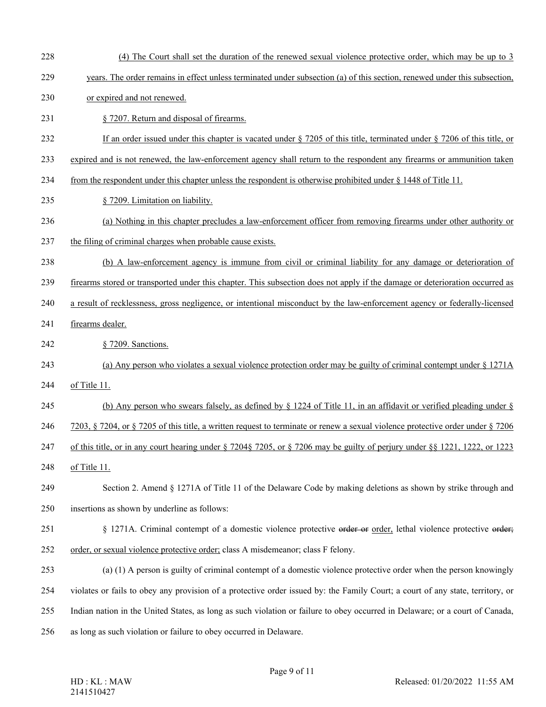- 228 (4) The Court shall set the duration of the renewed sexual violence protective order, which may be up to 3
- 229 years. The order remains in effect unless terminated under subsection (a) of this section, renewed under this subsection,
- 230 or expired and not renewed.
- 231 § 7207. Return and disposal of firearms.
- 232 If an order issued under this chapter is vacated under § 7205 of this title, terminated under § 7206 of this title, or
- 233 expired and is not renewed, the law-enforcement agency shall return to the respondent any firearms or ammunition taken
- 234 from the respondent under this chapter unless the respondent is otherwise prohibited under § 1448 of Title 11.
- 235 § 7209. Limitation on liability.
- 236 (a) Nothing in this chapter precludes a law-enforcement officer from removing firearms under other authority or
- 237 the filing of criminal charges when probable cause exists.
- 238 (b) A law-enforcement agency is immune from civil or criminal liability for any damage or deterioration of
- 239 firearms stored or transported under this chapter. This subsection does not apply if the damage or deterioration occurred as
- 240 a result of recklessness, gross negligence, or intentional misconduct by the law-enforcement agency or federally-licensed
- 241 firearms dealer.
- 242 § 7209. Sanctions.
- 243 (a) Any person who violates a sexual violence protection order may be guilty of criminal contempt under § 1271A
- 244 of Title 11.
- 245 (b) Any person who swears falsely, as defined by  $\S$  1224 of Title 11, in an affidavit or verified pleading under  $\S$
- 246 7203, § 7204, or § 7205 of this title, a written request to terminate or renew a sexual violence protective order under § 7206
- 247 of this title, or in any court hearing under § 7204§ 7205, or § 7206 may be guilty of perjury under §§ 1221, 1222, or 1223
- 248 of Title 11.
- 249 Section 2. Amend § 1271A of Title 11 of the Delaware Code by making deletions as shown by strike through and 250 insertions as shown by underline as follows:
- 251 § 1271A. Criminal contempt of a domestic violence protective order or order, lethal violence protective order;
- 252 order, or sexual violence protective order; class A misdemeanor; class F felony.
- 253 (a) (1) A person is guilty of criminal contempt of a domestic violence protective order when the person knowingly 254 violates or fails to obey any provision of a protective order issued by: the Family Court; a court of any state, territory, or
- 255 Indian nation in the United States, as long as such violation or failure to obey occurred in Delaware; or a court of Canada,
- 256 as long as such violation or failure to obey occurred in Delaware.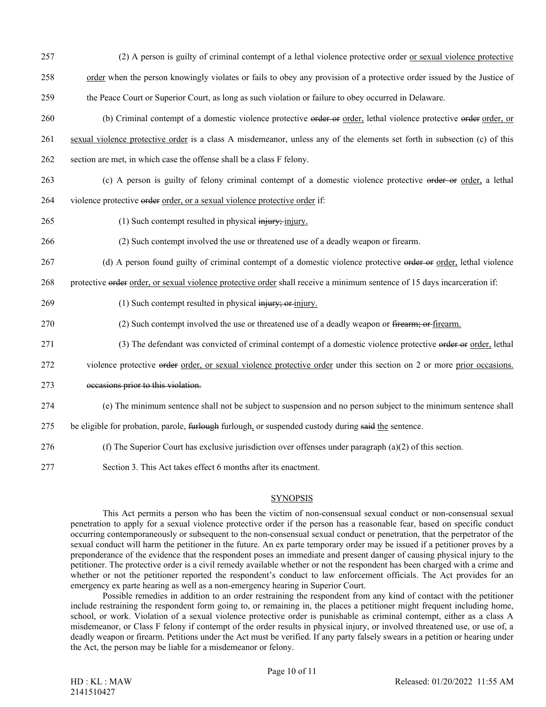- 257 (2) A person is guilty of criminal contempt of a lethal violence protective order or sexual violence protective 258 order when the person knowingly violates or fails to obey any provision of a protective order issued by the Justice of 259 the Peace Court or Superior Court, as long as such violation or failure to obey occurred in Delaware.
- 260 (b) Criminal contempt of a domestic violence protective order or order, lethal violence protective order order, or 261 sexual violence protective order is a class A misdemeanor, unless any of the elements set forth in subsection (c) of this 262 section are met, in which case the offense shall be a class F felony.
- 263 (c) A person is guilty of felony criminal contempt of a domestic violence protective order or order, a lethal
- 264 violence protective order order, or a sexual violence protective order if:
- 265 (1) Such contempt resulted in physical injury; injury.
- 266 (2) Such contempt involved the use or threatened use of a deadly weapon or firearm.
- 267 (d) A person found guilty of criminal contempt of a domestic violence protective order order, lethal violence

268 protective order order, or sexual violence protective order shall receive a minimum sentence of 15 days incarceration if:

- 269 (1) Such contempt resulted in physical injury; or injury.
- 270 (2) Such contempt involved the use or threatened use of a deadly weapon or <del>firearm; or firearm</del>.
- 271 (3) The defendant was convicted of criminal contempt of a domestic violence protective order order, lethal
- 272 violence protective order order, or sexual violence protective order under this section on 2 or more prior occasions.
- 273 occasions prior to this violation.
- 274 (e) The minimum sentence shall not be subject to suspension and no person subject to the minimum sentence shall
- 275 be eligible for probation, parole, furlough furlough, or suspended custody during said the sentence.
- 276 (f) The Superior Court has exclusive jurisdiction over offenses under paragraph (a)(2) of this section.
- 277 Section 3. This Act takes effect 6 months after its enactment.

## **SYNOPSIS**

This Act permits a person who has been the victim of non-consensual sexual conduct or non-consensual sexual penetration to apply for a sexual violence protective order if the person has a reasonable fear, based on specific conduct occurring contemporaneously or subsequent to the non-consensual sexual conduct or penetration, that the perpetrator of the sexual conduct will harm the petitioner in the future. An ex parte temporary order may be issued if a petitioner proves by a preponderance of the evidence that the respondent poses an immediate and present danger of causing physical injury to the petitioner. The protective order is a civil remedy available whether or not the respondent has been charged with a crime and whether or not the petitioner reported the respondent's conduct to law enforcement officials. The Act provides for an emergency ex parte hearing as well as a non-emergency hearing in Superior Court.

Possible remedies in addition to an order restraining the respondent from any kind of contact with the petitioner include restraining the respondent form going to, or remaining in, the places a petitioner might frequent including home, school, or work. Violation of a sexual violence protective order is punishable as criminal contempt, either as a class A misdemeanor, or Class F felony if contempt of the order results in physical injury, or involved threatened use, or use of, a deadly weapon or firearm. Petitions under the Act must be verified. If any party falsely swears in a petition or hearing under the Act, the person may be liable for a misdemeanor or felony.